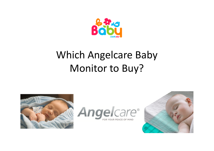

# Which Angelcare Baby Monitor to Buy?





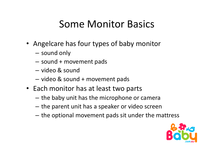### Some Monitor Basics

- Angelcare has four types of baby monitor
	- – $-$  sound only
	- –sound + movement pads
	- –— video & sound
	- –video & sound + movement pads
- Each monitor has at least two parts
	- – $-$  the baby unit has the microphone or camera
	- – $-$  the parent unit has a speaker or video screen
	- – $-$  the optional movement pads sit under the mattress

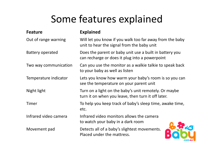# Some features explained

| <b>Feature</b>          | <b>Explained</b>                                                                                            |  |  |
|-------------------------|-------------------------------------------------------------------------------------------------------------|--|--|
| Out of range warning    | Will let you know if you walk too far away from the baby<br>unit to hear the signal from the baby unit      |  |  |
| <b>Battery operated</b> | Does the parent or baby unit use a built in battery you<br>can recharge or does it plug into a powerpoint   |  |  |
| Two way communication   | Can you use the monitor as a walkie talkie to speak back<br>to your baby as well as listen                  |  |  |
| Temperature indicator   | Lets you know how warm your baby's room is so you can<br>see the temperature on your parent unit            |  |  |
| Night light             | Turn on a light on the baby's unit remotely. Or maybe<br>turn it on when you leave, then turn it off later. |  |  |
| Timer                   | To help you keep track of baby's sleep time, awake time,<br>etc.                                            |  |  |
| Infrared video camera   | Infrared video monitors allows the camera<br>to watch your baby in a dark room                              |  |  |
| Movement pad            | Detects all of a baby's slightest movements.<br>Placed under the mattress.                                  |  |  |

.com.at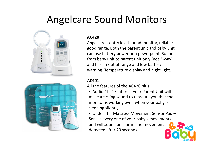### Angelcare Sound Monitors





#### **AC420**

 Angelcare's entry level sound monitor, reliable, good range. Both the parent unit and baby unit can use battery power or a powerpoint. Sound from baby unit to parent unit only (not 2-way) and has an out of range and low battery warning. Temperature display and night light.

#### **AC401**

All the features of the AC420 plus:

- Audio "Tic" Feature your Parent Unit will make a ticking sound to reassure you that the monitor is working even when your baby is sleeping silently
- Under-the-Mattress Movement Sensor Pad Senses every one of your baby's movements and will sound an alarm if no movement detected after 20 seconds.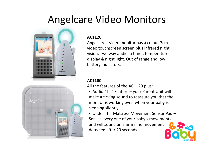## Angelcare Video Monitors



#### **AC1120**

 Angelcare's video monitor has a colour 7cm video touchscreen screen plus infrared night vision. Two way audio, a timer, temperature display & night light. Out of range and low battery indicators.



#### **AC1100**

All the features of the AC1120 plus:

- Audio "Tic" Feature your Parent Unit will make a ticking sound to reassure you that the monitor is working even when your baby is sleeping silently
- Under-the-Mattress Movement Sensor Pad Senses every one of your baby's movements and will sound an alarm if no movement detected after 20 seconds.